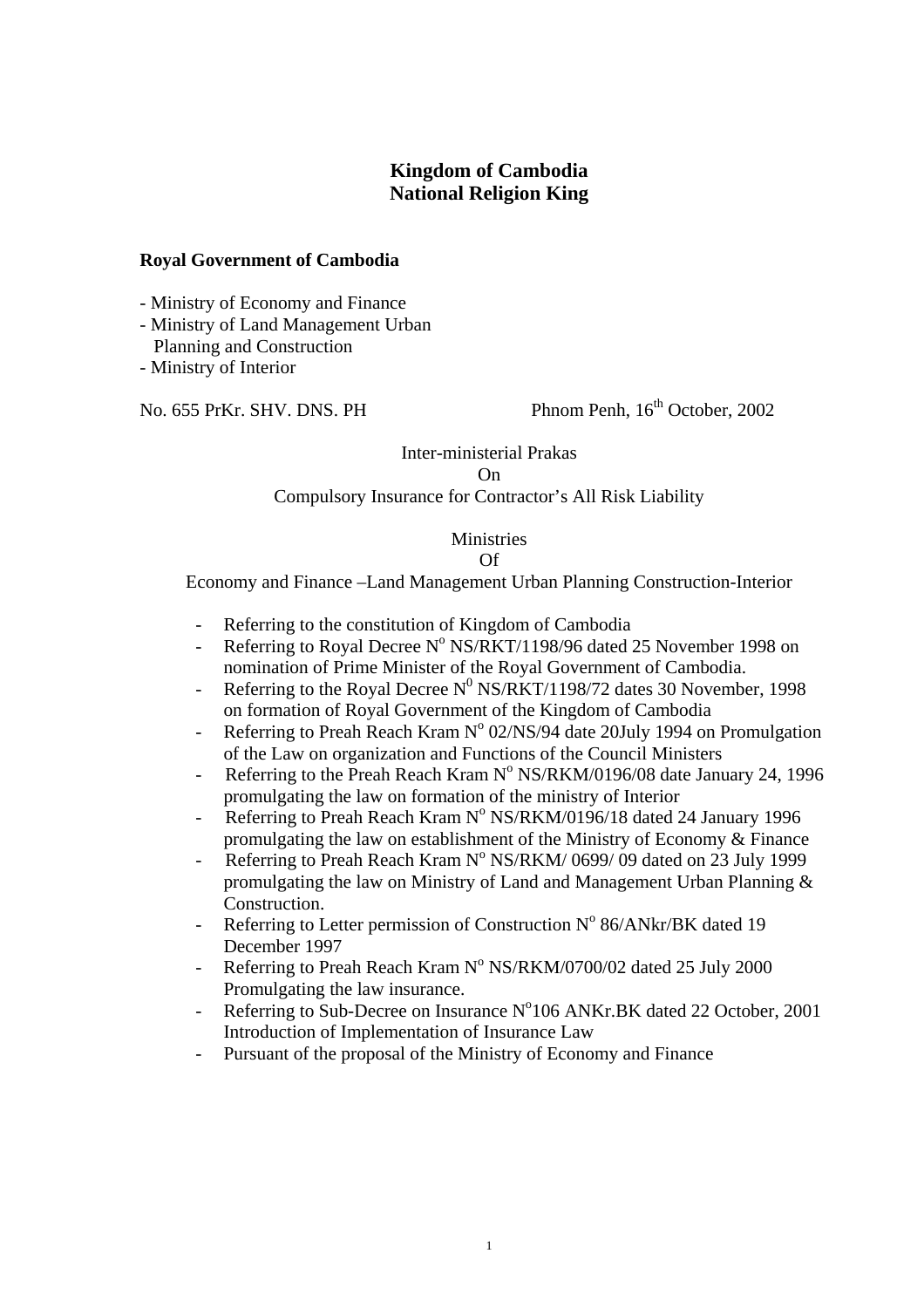# **Kingdom of Cambodia National Religion King**

#### **Royal Government of Cambodia**

- Ministry of Economy and Finance

- Ministry of Land Management Urban Planning and Construction

- Ministry of Interior

No. 655 PrKr. SHV. DNS. PH Phnom Penh, 16<sup>th</sup> October, 2002

# Inter-ministerial Prakas On

## Compulsory Insurance for Contractor's All Risk Liability

## **Ministries**

#### Of

Economy and Finance –Land Management Urban Planning Construction-Interior

- Referring to the constitution of Kingdom of Cambodia
- Referring to Royal Decree  $N^{\circ}$  NS/RKT/1198/96 dated 25 November 1998 on nomination of Prime Minister of the Royal Government of Cambodia.
- Referring to the Royal Decree  $N^0$  NS/RKT/1198/72 dates 30 November, 1998 on formation of Royal Government of the Kingdom of Cambodia
- Referring to Preah Reach Kram  $N^{\circ}$  02/NS/94 date 20July 1994 on Promulgation of the Law on organization and Functions of the Council Ministers
- Referring to the Preah Reach Kram  $N^{\circ}$  NS/RKM/0196/08 date January 24, 1996 promulgating the law on formation of the ministry of Interior
- Referring to Preah Reach Kram N° NS/RKM/0196/18 dated 24 January 1996 promulgating the law on establishment of the Ministry of Economy & Finance
- Referring to Preah Reach Kram N° NS/RKM/ 0699/ 09 dated on 23 July 1999 promulgating the law on Ministry of Land and Management Urban Planning & Construction.
- Referring to Letter permission of Construction  $N^{\circ}$  86/ANkr/BK dated 19 December 1997
- Referring to Preah Reach Kram N° NS/RKM/0700/02 dated 25 July 2000 Promulgating the law insurance.
- Referring to Sub-Decree on Insurance  $N^0106$  ANKr.BK dated 22 October, 2001 Introduction of Implementation of Insurance Law
- Pursuant of the proposal of the Ministry of Economy and Finance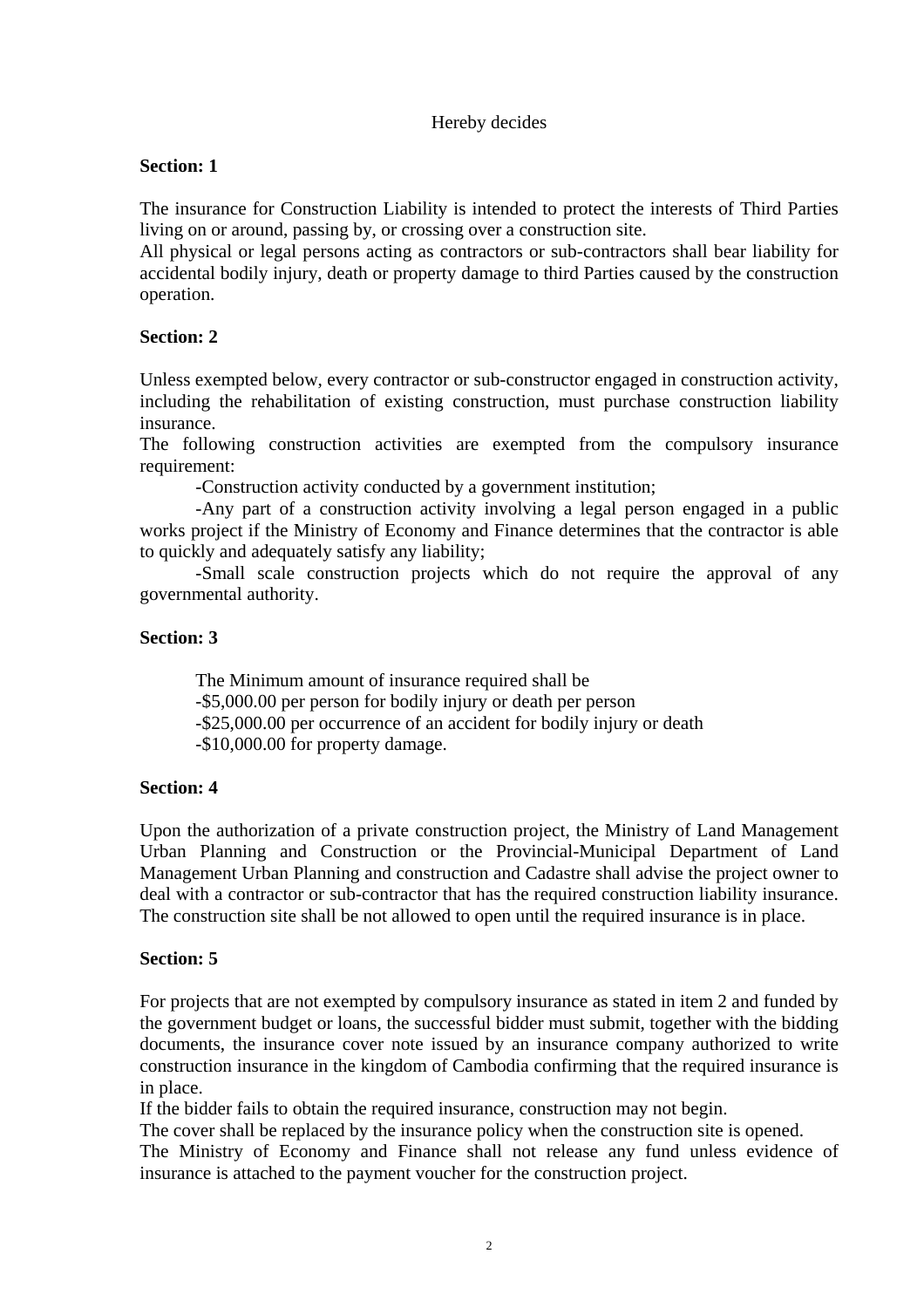# Hereby decides

## **Section: 1**

The insurance for Construction Liability is intended to protect the interests of Third Parties living on or around, passing by, or crossing over a construction site.

All physical or legal persons acting as contractors or sub-contractors shall bear liability for accidental bodily injury, death or property damage to third Parties caused by the construction operation.

# **Section: 2**

Unless exempted below, every contractor or sub-constructor engaged in construction activity, including the rehabilitation of existing construction, must purchase construction liability insurance.

The following construction activities are exempted from the compulsory insurance requirement:

-Construction activity conducted by a government institution;

-Any part of a construction activity involving a legal person engaged in a public works project if the Ministry of Economy and Finance determines that the contractor is able to quickly and adequately satisfy any liability;

-Small scale construction projects which do not require the approval of any governmental authority.

## **Section: 3**

The Minimum amount of insurance required shall be -\$5,000.00 per person for bodily injury or death per person -\$25,000.00 per occurrence of an accident for bodily injury or death -\$10,000.00 for property damage.

# **Section: 4**

Upon the authorization of a private construction project, the Ministry of Land Management Urban Planning and Construction or the Provincial-Municipal Department of Land Management Urban Planning and construction and Cadastre shall advise the project owner to deal with a contractor or sub-contractor that has the required construction liability insurance. The construction site shall be not allowed to open until the required insurance is in place.

#### **Section: 5**

For projects that are not exempted by compulsory insurance as stated in item 2 and funded by the government budget or loans, the successful bidder must submit, together with the bidding documents, the insurance cover note issued by an insurance company authorized to write construction insurance in the kingdom of Cambodia confirming that the required insurance is in place.

If the bidder fails to obtain the required insurance, construction may not begin.

The cover shall be replaced by the insurance policy when the construction site is opened.

The Ministry of Economy and Finance shall not release any fund unless evidence of insurance is attached to the payment voucher for the construction project.